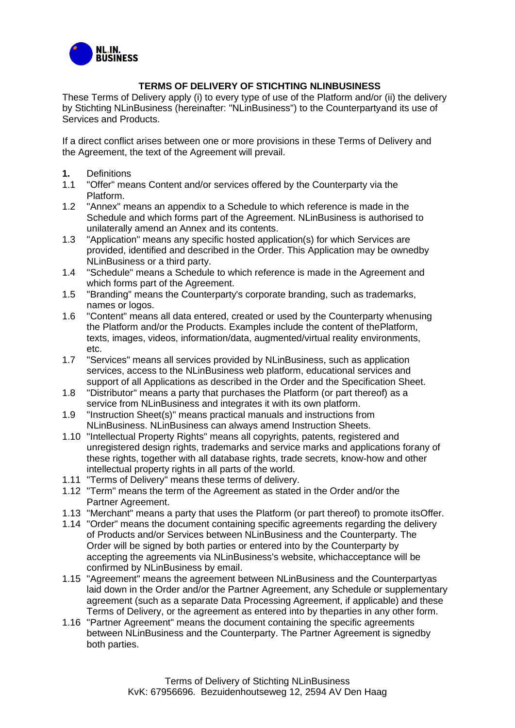

## **TERMS OF DELIVERY OF STICHTING NLINBUSINESS**

These Terms of Delivery apply (i) to every type of use of the Platform and/or (ii) the delivery by Stichting NLinBusiness (hereinafter: "NLinBusiness") to the Counterpartyand its use of Services and Products.

If a direct conflict arises between one or more provisions in these Terms of Delivery and the Agreement, the text of the Agreement will prevail.

- **1.** Definitions<br>**1.1** "Offer" mea
- "Offer" means Content and/or services offered by the Counterparty via the Platform.
- 1.2 "Annex" means an appendix to a Schedule to which reference is made in the Schedule and which forms part of the Agreement. NLinBusiness is authorised to unilaterally amend an Annex and its contents.
- 1.3 "Application" means any specific hosted application(s) for which Services are provided, identified and described in the Order. This Application may be ownedby NLinBusiness or a third party.
- 1.4 "Schedule" means a Schedule to which reference is made in the Agreement and which forms part of the Agreement.
- 1.5 "Branding" means the Counterparty's corporate branding, such as trademarks, names or logos.
- 1.6 "Content" means all data entered, created or used by the Counterparty whenusing the Platform and/or the Products. Examples include the content of thePlatform, texts, images, videos, information/data, augmented/virtual reality environments, etc.
- 1.7 "Services" means all services provided by NLinBusiness, such as application services, access to the NLinBusiness web platform, educational services and support of all Applications as described in the Order and the Specification Sheet.
- 1.8 "Distributor" means a party that purchases the Platform (or part thereof) as a service from NLinBusiness and integrates it with its own platform.
- 1.9 "Instruction Sheet(s)" means practical manuals and instructions from NLinBusiness. NLinBusiness can always amend Instruction Sheets.
- 1.10 "Intellectual Property Rights" means all copyrights, patents, registered and unregistered design rights, trademarks and service marks and applications forany of these rights, together with all database rights, trade secrets, know-how and other intellectual property rights in all parts of the world.
- 1.11 "Terms of Delivery" means these terms of delivery.
- 1.12 "Term" means the term of the Agreement as stated in the Order and/or the Partner Agreement.
- 1.13 "Merchant" means a party that uses the Platform (or part thereof) to promote itsOffer.
- 1.14 "Order" means the document containing specific agreements regarding the delivery of Products and/or Services between NLinBusiness and the Counterparty. The Order will be signed by both parties or entered into by the Counterparty by accepting the agreements via NLinBusiness's website, whichacceptance will be confirmed by NLinBusiness by email.
- 1.15 "Agreement" means the agreement between NLinBusiness and the Counterpartyas laid down in the Order and/or the Partner Agreement, any Schedule or supplementary agreement (such as a separate Data Processing Agreement, if applicable) and these Terms of Delivery, or the agreement as entered into by theparties in any other form.
- 1.16 "Partner Agreement" means the document containing the specific agreements between NLinBusiness and the Counterparty. The Partner Agreement is signedby both parties.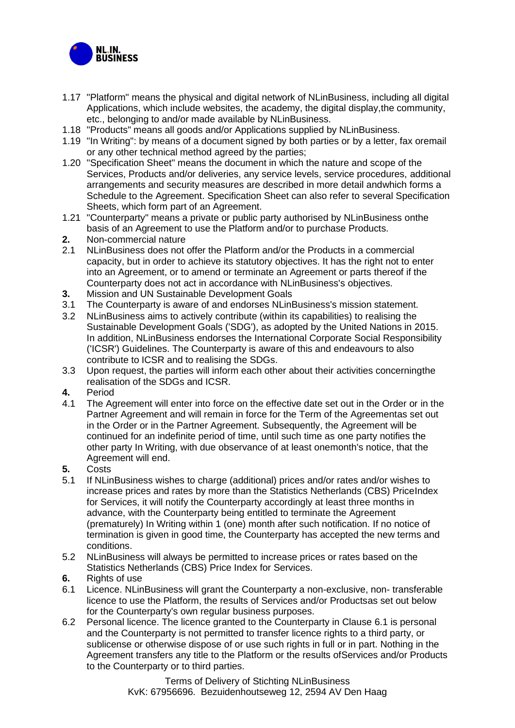

- 1.17 "Platform" means the physical and digital network of NLinBusiness, including all digital Applications, which include websites, the academy, the digital display,the community, etc., belonging to and/or made available by NLinBusiness.
- 1.18 "Products" means all goods and/or Applications supplied by NLinBusiness.
- 1.19 "In Writing": by means of a document signed by both parties or by a letter, fax oremail or any other technical method agreed by the parties;
- 1.20 "Specification Sheet" means the document in which the nature and scope of the Services, Products and/or deliveries, any service levels, service procedures, additional arrangements and security measures are described in more detail andwhich forms a Schedule to the Agreement. Specification Sheet can also refer to several Specification Sheets, which form part of an Agreement.
- 1.21 "Counterparty" means a private or public party authorised by NLinBusiness onthe basis of an Agreement to use the Platform and/or to purchase Products.
- **2.** Non-commercial nature<br>2.1 NLinBusiness does not
- 2.1 NLinBusiness does not offer the Platform and/or the Products in a commercial capacity, but in order to achieve its statutory objectives. It has the right not to enter into an Agreement, or to amend or terminate an Agreement or parts thereof if the Counterparty does not act in accordance with NLinBusiness's objectives.
- **3.** Mission and UN Sustainable Development Goals<br>**3.1** The Counterparty is aware of and endorses NLinE
- The Counterparty is aware of and endorses NLinBusiness's mission statement.
- 3.2 NLinBusiness aims to actively contribute (within its capabilities) to realising the Sustainable Development Goals ('SDG'), as adopted by the United Nations in 2015. In addition, NLinBusiness endorses the International Corporate Social Responsibility ('ICSR') Guidelines. The Counterparty is aware of this and endeavours to also contribute to ICSR and to realising the SDGs.
- 3.3 Upon request, the parties will inform each other about their activities concerningthe realisation of the SDGs and ICSR.
- **4.** Period
- 4.1 The Agreement will enter into force on the effective date set out in the Order or in the Partner Agreement and will remain in force for the Term of the Agreementas set out in the Order or in the Partner Agreement. Subsequently, the Agreement will be continued for an indefinite period of time, until such time as one party notifies the other party In Writing, with due observance of at least onemonth's notice, that the Agreement will end.
- **5.** Costs
- 5.1 If NLinBusiness wishes to charge (additional) prices and/or rates and/or wishes to increase prices and rates by more than the Statistics Netherlands (CBS) PriceIndex for Services, it will notify the Counterparty accordingly at least three months in advance, with the Counterparty being entitled to terminate the Agreement (prematurely) In Writing within 1 (one) month after such notification. If no notice of termination is given in good time, the Counterparty has accepted the new terms and conditions.
- 5.2 NLinBusiness will always be permitted to increase prices or rates based on the Statistics Netherlands (CBS) Price Index for Services.
- **6.** Rights of use
- <span id="page-1-0"></span>6.1 Licence. NLinBusiness will grant the Counterparty a non-exclusive, non- transferable licence to use the Platform, the results of Services and/or Productsas set out below for the Counterparty's own regular business purposes.
- 6.2 Personal licence. The licence granted to the Counterparty in Clause [6.1 i](#page-1-0)s personal and the Counterparty is not permitted to transfer licence rights to a third party, or sublicense or otherwise dispose of or use such rights in full or in part. Nothing in the Agreement transfers any title to the Platform or the results ofServices and/or Products to the Counterparty or to third parties.

Terms of Delivery of Stichting NLinBusiness KvK: 67956696. Bezuidenhoutseweg 12, 2594 AV Den Haag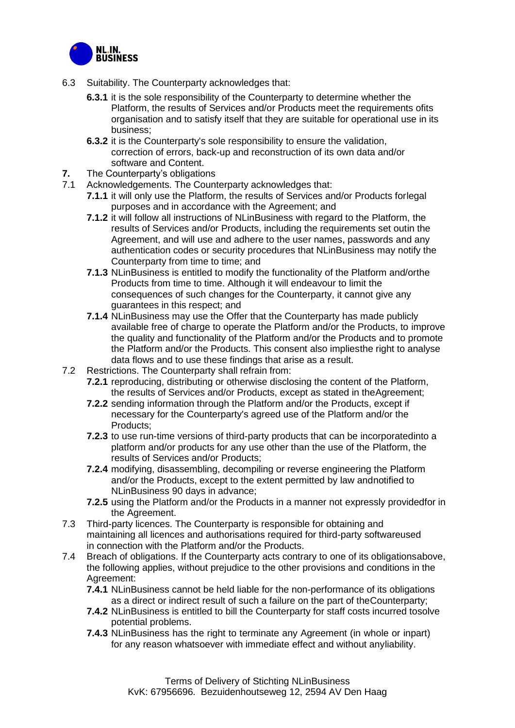

- 6.3 Suitability. The Counterparty acknowledges that:
	- **6.3.1** it is the sole responsibility of the Counterparty to determine whether the Platform, the results of Services and/or Products meet the requirements ofits organisation and to satisfy itself that they are suitable for operational use in its business;
	- **6.3.2** it is the Counterparty's sole responsibility to ensure the validation, correction of errors, back-up and reconstruction of its own data and/or software and Content.
- **7.** The Counterparty's obligations<br>**7.1** Acknowledgements, The Coun
- Acknowledgements. The Counterparty acknowledges that:
	- **7.1.1** it will only use the Platform, the results of Services and/or Products forlegal purposes and in accordance with the Agreement; and
	- **7.1.2** it will follow all instructions of NLinBusiness with regard to the Platform, the results of Services and/or Products, including the requirements set outin the Agreement, and will use and adhere to the user names, passwords and any authentication codes or security procedures that NLinBusiness may notify the Counterparty from time to time; and
	- **7.1.3** NLinBusiness is entitled to modify the functionality of the Platform and/orthe Products from time to time. Although it will endeavour to limit the consequences of such changes for the Counterparty, it cannot give any guarantees in this respect; and
	- **7.1.4** NLinBusiness may use the Offer that the Counterparty has made publicly available free of charge to operate the Platform and/or the Products, to improve the quality and functionality of the Platform and/or the Products and to promote the Platform and/or the Products. This consent also impliesthe right to analyse data flows and to use these findings that arise as a result.
- 7.2 Restrictions. The Counterparty shall refrain from:
	- **7.2.1** reproducing, distributing or otherwise disclosing the content of the Platform, the results of Services and/or Products, except as stated in theAgreement;
	- **7.2.2** sending information through the Platform and/or the Products, except if necessary for the Counterparty's agreed use of the Platform and/or the Products;
	- **7.2.3** to use run-time versions of third-party products that can be incorporatedinto a platform and/or products for any use other than the use of the Platform, the results of Services and/or Products;
	- **7.2.4** modifying, disassembling, decompiling or reverse engineering the Platform and/or the Products, except to the extent permitted by law andnotified to NLinBusiness 90 days in advance;
	- **7.2.5** using the Platform and/or the Products in a manner not expressly providedfor in the Agreement.
- 7.3 Third-party licences. The Counterparty is responsible for obtaining and maintaining all licences and authorisations required for third-party softwareused in connection with the Platform and/or the Products.
- 7.4 Breach of obligations. If the Counterparty acts contrary to one of its obligationsabove, the following applies, without prejudice to the other provisions and conditions in the Agreement:
	- **7.4.1** NLinBusiness cannot be held liable for the non-performance of its obligations as a direct or indirect result of such a failure on the part of theCounterparty;
	- **7.4.2** NLinBusiness is entitled to bill the Counterparty for staff costs incurred tosolve potential problems.
	- **7.4.3** NLinBusiness has the right to terminate any Agreement (in whole or inpart) for any reason whatsoever with immediate effect and without anyliability.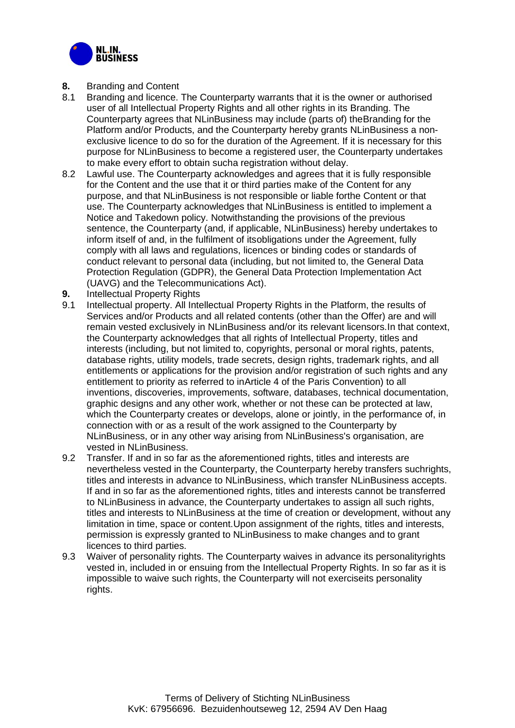

- **8.** Branding and Content
- 8.1 Branding and licence. The Counterparty warrants that it is the owner or authorised user of all Intellectual Property Rights and all other rights in its Branding. The Counterparty agrees that NLinBusiness may include (parts of) theBranding for the Platform and/or Products, and the Counterparty hereby grants NLinBusiness a nonexclusive licence to do so for the duration of the Agreement. If it is necessary for this purpose for NLinBusiness to become a registered user, the Counterparty undertakes to make every effort to obtain sucha registration without delay.
- 8.2 Lawful use. The Counterparty acknowledges and agrees that it is fully responsible for the Content and the use that it or third parties make of the Content for any purpose, and that NLinBusiness is not responsible or liable forthe Content or that use. The Counterparty acknowledges that NLinBusiness is entitled to implement a Notice and Takedown policy. Notwithstanding the provisions of the previous sentence, the Counterparty (and, if applicable, NLinBusiness) hereby undertakes to inform itself of and, in the fulfilment of itsobligations under the Agreement, fully comply with all laws and regulations, licences or binding codes or standards of conduct relevant to personal data (including, but not limited to, the General Data Protection Regulation (GDPR), the General Data Protection Implementation Act (UAVG) and the Telecommunications Act).
- **9.** Intellectual Property Rights
- 9.1 Intellectual property. All Intellectual Property Rights in the Platform, the results of Services and/or Products and all related contents (other than the Offer) are and will remain vested exclusively in NLinBusiness and/or its relevant licensors.In that context, the Counterparty acknowledges that all rights of Intellectual Property, titles and interests (including, but not limited to, copyrights, personal or moral rights, patents, database rights, utility models, trade secrets, design rights, trademark rights, and all entitlements or applications for the provision and/or registration of such rights and any entitlement to priority as referred to inArticle 4 of the Paris Convention) to all inventions, discoveries, improvements, software, databases, technical documentation, graphic designs and any other work, whether or not these can be protected at law, which the Counterparty creates or develops, alone or jointly, in the performance of, in connection with or as a result of the work assigned to the Counterparty by NLinBusiness, or in any other way arising from NLinBusiness's organisation, are vested in NLinBusiness.
- 9.2 Transfer. If and in so far as the aforementioned rights, titles and interests are nevertheless vested in the Counterparty, the Counterparty hereby transfers suchrights, titles and interests in advance to NLinBusiness, which transfer NLinBusiness accepts. If and in so far as the aforementioned rights, titles and interests cannot be transferred to NLinBusiness in advance, the Counterparty undertakes to assign all such rights, titles and interests to NLinBusiness at the time of creation or development, without any limitation in time, space or content.Upon assignment of the rights, titles and interests, permission is expressly granted to NLinBusiness to make changes and to grant licences to third parties.
- 9.3 Waiver of personality rights. The Counterparty waives in advance its personalityrights vested in, included in or ensuing from the Intellectual Property Rights. In so far as it is impossible to waive such rights, the Counterparty will not exerciseits personality rights.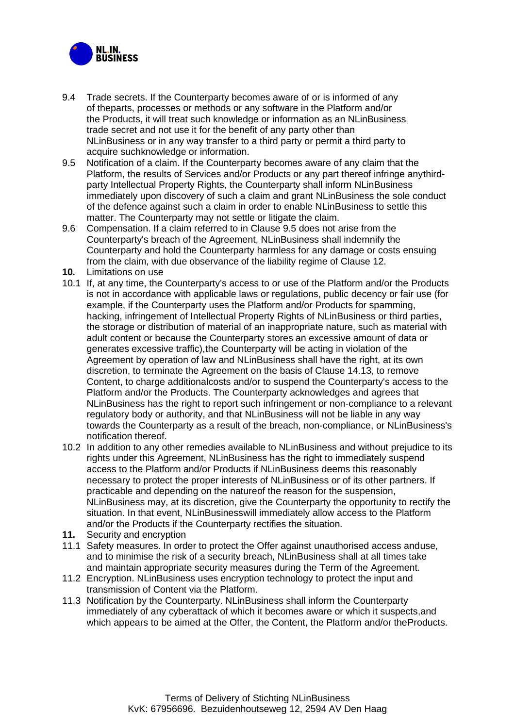

- 9.4 Trade secrets. If the Counterparty becomes aware of or is informed of any of theparts, processes or methods or any software in the Platform and/or the Products, it will treat such knowledge or information as an NLinBusiness trade secret and not use it for the benefit of any party other than NLinBusiness or in any way transfer to a third party or permit a third party to acquire suchknowledge or information.
- <span id="page-4-0"></span>9.5 Notification of a claim. If the Counterparty becomes aware of any claim that the Platform, the results of Services and/or Products or any part thereof infringe anythirdparty Intellectual Property Rights, the Counterparty shall inform NLinBusiness immediately upon discovery of such a claim and grant NLinBusiness the sole conduct of the defence against such a claim in order to enable NLinBusiness to settle this matter. The Counterparty may not settle or litigate the claim.
- 9.6 Compensation. If a claim referred to in Clause [9.5 d](#page-4-0)oes not arise from the Counterparty's breach of the Agreement, NLinBusiness shall indemnify the Counterparty and hold the Counterparty harmless for any damage or costs ensuing from the claim, with due observance of the liability regime of Clause [12.](#page-5-0)
- **10.** Limitations on use
- 10.1 If, at any time, the Counterparty's access to or use of the Platform and/or the Products is not in accordance with applicable laws or regulations, public decency or fair use (for example, if the Counterparty uses the Platform and/or Products for spamming, hacking, infringement of Intellectual Property Rights of NLinBusiness or third parties, the storage or distribution of material of an inappropriate nature, such as material with adult content or because the Counterparty stores an excessive amount of data or generates excessive traffic),the Counterparty will be acting in violation of the Agreement by operation of law and NLinBusiness shall have the right, at its own discretion, to terminate the Agreement on the basis of Clause [14.13,](#page-6-0) to remove Content, to charge additionalcosts and/or to suspend the Counterparty's access to the Platform and/or the Products. The Counterparty acknowledges and agrees that NLinBusiness has the right to report such infringement or non-compliance to a relevant regulatory body or authority, and that NLinBusiness will not be liable in any way towards the Counterparty as a result of the breach, non-compliance, or NLinBusiness's notification thereof.
- 10.2 In addition to any other remedies available to NLinBusiness and without prejudice to its rights under this Agreement, NLinBusiness has the right to immediately suspend access to the Platform and/or Products if NLinBusiness deems this reasonably necessary to protect the proper interests of NLinBusiness or of its other partners. If practicable and depending on the natureof the reason for the suspension, NLinBusiness may, at its discretion, give the Counterparty the opportunity to rectify the situation. In that event, NLinBusinesswill immediately allow access to the Platform and/or the Products if the Counterparty rectifies the situation.
- **11.** Security and encryption
- 11.1 Safety measures. In order to protect the Offer against unauthorised access anduse, and to minimise the risk of a security breach, NLinBusiness shall at all times take and maintain appropriate security measures during the Term of the Agreement.
- 11.2 Encryption. NLinBusiness uses encryption technology to protect the input and transmission of Content via the Platform.
- 11.3 Notification by the Counterparty. NLinBusiness shall inform the Counterparty immediately of any cyberattack of which it becomes aware or which it suspects,and which appears to be aimed at the Offer, the Content, the Platform and/or theProducts.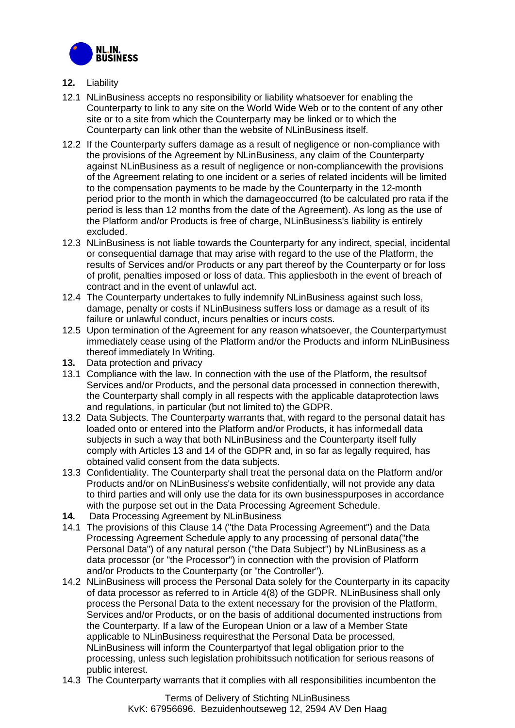

- <span id="page-5-0"></span>**12.** Liability
- 12.1 NLinBusiness accepts no responsibility or liability whatsoever for enabling the Counterparty to link to any site on the World Wide Web or to the content of any other site or to a site from which the Counterparty may be linked or to which the Counterparty can link other than the website of NLinBusiness itself.
- 12.2 If the Counterparty suffers damage as a result of negligence or non-compliance with the provisions of the Agreement by NLinBusiness, any claim of the Counterparty against NLinBusiness as a result of negligence or non-compliancewith the provisions of the Agreement relating to one incident or a series of related incidents will be limited to the compensation payments to be made by the Counterparty in the 12-month period prior to the month in which the damageoccurred (to be calculated pro rata if the period is less than 12 months from the date of the Agreement). As long as the use of the Platform and/or Products is free of charge, NLinBusiness's liability is entirely excluded.
- 12.3 NLinBusiness is not liable towards the Counterparty for any indirect, special, incidental or consequential damage that may arise with regard to the use of the Platform, the results of Services and/or Products or any part thereof by the Counterparty or for loss of profit, penalties imposed or loss of data. This appliesboth in the event of breach of contract and in the event of unlawful act.
- 12.4 The Counterparty undertakes to fully indemnify NLinBusiness against such loss, damage, penalty or costs if NLinBusiness suffers loss or damage as a result of its failure or unlawful conduct, incurs penalties or incurs costs.
- 12.5 Upon termination of the Agreement for any reason whatsoever, the Counterpartymust immediately cease using of the Platform and/or the Products and inform NLinBusiness thereof immediately In Writing.
- **13.** Data protection and privacy
- 13.1 Compliance with the law. In connection with the use of the Platform, the resultsof Services and/or Products, and the personal data processed in connection therewith, the Counterparty shall comply in all respects with the applicable dataprotection laws and regulations, in particular (but not limited to) the GDPR.
- 13.2 Data Subjects. The Counterparty warrants that, with regard to the personal datait has loaded onto or entered into the Platform and/or Products, it has informedall data subjects in such a way that both NLinBusiness and the Counterparty itself fully comply with Articles 13 and 14 of the GDPR and, in so far as legally required, has obtained valid consent from the data subjects.
- 13.3 Confidentiality. The Counterparty shall treat the personal data on the Platform and/or Products and/or on NLinBusiness's website confidentially, will not provide any data to third parties and will only use the data for its own businesspurposes in accordance with the purpose set out in the Data Processing Agreement Schedule.
- <span id="page-5-1"></span>**14.** Data Processing Agreement by NLinBusiness
- 14.1 The provisions of this Clause [14 \(](#page-5-1)"the Data Processing Agreement") and the Data Processing Agreement Schedule apply to any processing of personal data("the Personal Data") of any natural person ("the Data Subject") by NLinBusiness as a data processor (or "the Processor") in connection with the provision of Platform and/or Products to the Counterparty (or "the Controller").
- 14.2 NLinBusiness will process the Personal Data solely for the Counterparty in its capacity of data processor as referred to in Article 4(8) of the GDPR. NLinBusiness shall only process the Personal Data to the extent necessary for the provision of the Platform, Services and/or Products, or on the basis of additional documented instructions from the Counterparty. If a law of the European Union or a law of a Member State applicable to NLinBusiness requiresthat the Personal Data be processed, NLinBusiness will inform the Counterpartyof that legal obligation prior to the processing, unless such legislation prohibitssuch notification for serious reasons of public interest.
- 14.3 The Counterparty warrants that it complies with all responsibilities incumbenton the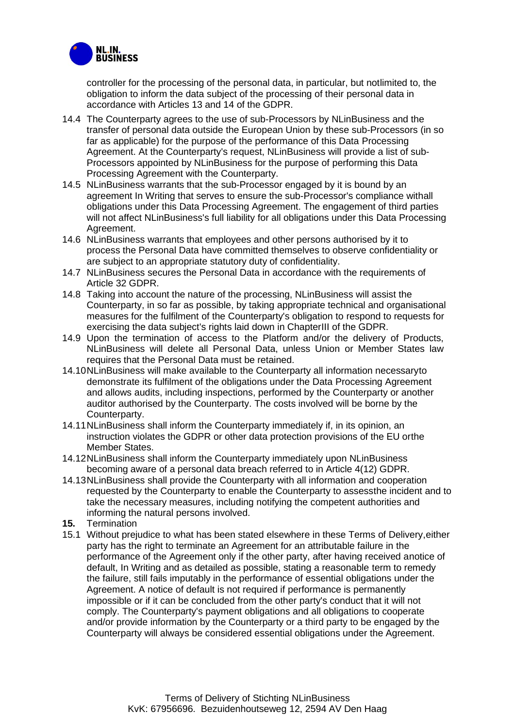

controller for the processing of the personal data, in particular, but notlimited to, the obligation to inform the data subject of the processing of their personal data in accordance with Articles 13 and 14 of the GDPR.

- 14.4 The Counterparty agrees to the use of sub-Processors by NLinBusiness and the transfer of personal data outside the European Union by these sub-Processors (in so far as applicable) for the purpose of the performance of this Data Processing Agreement. At the Counterparty's request, NLinBusiness will provide a list of sub-Processors appointed by NLinBusiness for the purpose of performing this Data Processing Agreement with the Counterparty.
- 14.5 NLinBusiness warrants that the sub-Processor engaged by it is bound by an agreement In Writing that serves to ensure the sub-Processor's compliance withall obligations under this Data Processing Agreement. The engagement of third parties will not affect NLinBusiness's full liability for all obligations under this Data Processing Agreement.
- 14.6 NLinBusiness warrants that employees and other persons authorised by it to process the Personal Data have committed themselves to observe confidentiality or are subject to an appropriate statutory duty of confidentiality.
- 14.7 NLinBusiness secures the Personal Data in accordance with the requirements of Article 32 GDPR.
- 14.8 Taking into account the nature of the processing, NLinBusiness will assist the Counterparty, in so far as possible, by taking appropriate technical and organisational measures for the fulfilment of the Counterparty's obligation to respond to requests for exercising the data subject's rights laid down in ChapterIII of the GDPR.
- 14.9 Upon the termination of access to the Platform and/or the delivery of Products, NLinBusiness will delete all Personal Data, unless Union or Member States law requires that the Personal Data must be retained.
- 14.10NLinBusiness will make available to the Counterparty all information necessaryto demonstrate its fulfilment of the obligations under the Data Processing Agreement and allows audits, including inspections, performed by the Counterparty or another auditor authorised by the Counterparty. The costs involved will be borne by the Counterparty.
- 14.11NLinBusiness shall inform the Counterparty immediately if, in its opinion, an instruction violates the GDPR or other data protection provisions of the EU orthe Member States.
- 14.12NLinBusiness shall inform the Counterparty immediately upon NLinBusiness becoming aware of a personal data breach referred to in Article 4(12) GDPR.
- 14.13NLinBusiness shall provide the Counterparty with all information and cooperation requested by the Counterparty to enable the Counterparty to assessthe incident and to take the necessary measures, including notifying the competent authorities and informing the natural persons involved.
- <span id="page-6-0"></span>**15.** Termination
- 15.1 Without prejudice to what has been stated elsewhere in these Terms of Delivery,either party has the right to terminate an Agreement for an attributable failure in the performance of the Agreement only if the other party, after having received anotice of default, In Writing and as detailed as possible, stating a reasonable term to remedy the failure, still fails imputably in the performance of essential obligations under the Agreement. A notice of default is not required if performance is permanently impossible or if it can be concluded from the other party's conduct that it will not comply. The Counterparty's payment obligations and all obligations to cooperate and/or provide information by the Counterparty or a third party to be engaged by the Counterparty will always be considered essential obligations under the Agreement.